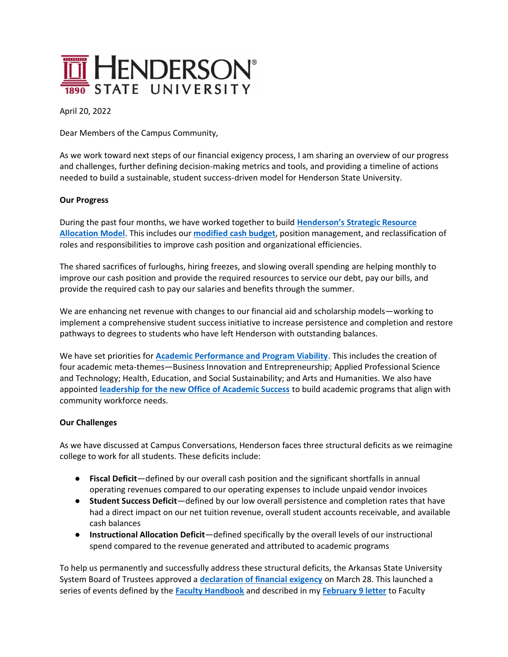

April 20, 2022

Dear Members of the Campus Community,

As we work toward next steps of our financial exigency process, I am sharing an overview of our progress and challenges, further defining decision-making metrics and tools, and providing a timeline of actions needed to build a sustainable, student success-driven model for Henderson State University.

## **Our Progress**

During the past four months, we have worked together to build **[Henderson's Strategic Resource](https://hsu.edu/uploads/pages/1.27.22.pdf)  [Allocation Model](https://hsu.edu/uploads/pages/1.27.22.pdf)**. This includes our **[modified cash budget](https://hsu.edu/uploads/pages/hsu_cash_flow_proforma_april_5_2022.pdf)**, position management, and reclassification of roles and responsibilities to improve cash position and organizational efficiencies.

The shared sacrifices of furloughs, hiring freezes, and slowing overall spending are helping monthly to improve our cash position and provide the required resources to service our debt, pay our bills, and provide the required cash to pay our salaries and benefits through the summer.

We are enhancing net revenue with changes to our financial aid and scholarship models—working to implement a comprehensive student success initiative to increase persistence and completion and restore pathways to degrees to students who have left Henderson with outstanding balances.

We have set priorities for **[Academic Performance and Program Viability](https://hsu.edu/uploads/pages/academic_performance_and_program_viability.docx.pdf)**. This includes the creation of four academic meta-themes—Business Innovation and Entrepreneurship; Applied Professional Science and Technology; Health, Education, and Social Sustainability; and Arts and Humanities. We also have appointed **leadership [for the new Office of Academic Success](https://hsu.edu/news/2022/apr/14/academic-student-success-leadership-appointments-a/)** to build academic programs that align with community workforce needs.

## **Our Challenges**

As we have discussed at Campus Conversations, Henderson faces three structural deficits as we reimagine college to work for all students. These deficits include:

- **Fiscal Deficit**—defined by our overall cash position and the significant shortfalls in annual operating revenues compared to our operating expenses to include unpaid vendor invoices
- **Student Success Deficit**—defined by our low overall persistence and completion rates that have had a direct impact on our net tuition revenue, overall student accounts receivable, and available cash balances
- **Instructional Allocation Deficit**—defined specifically by the overall levels of our instructional spend compared to the revenue generated and attributed to academic programs

To help us permanently and successfully address these structural deficits, the Arkansas State University System Board of Trustees approved a **[declaration of financial exigency](https://hsu.edu/uploads/pages/3-28-22_resolution.pdf)** on March 28. This launched a series of events defined by the **[Faculty Handbook](https://hsu.edu/uploads/pages/2016_faculty_handbookwith_fully_approved_recommendations_for_2018.pdf)** and described in my **[February 9 letter](https://hsu.edu/uploads/pages/2.9_faculty_senate.pdf)** to Faculty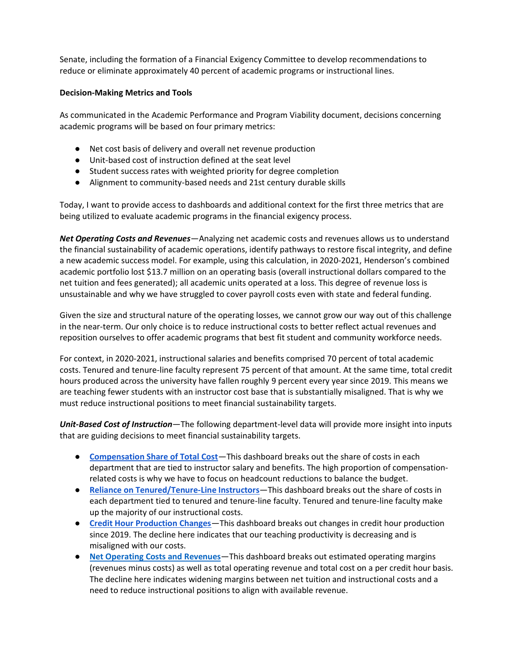Senate, including the formation of a Financial Exigency Committee to develop recommendations to reduce or eliminate approximately 40 percent of academic programs or instructional lines.

## **Decision-Making Metrics and Tools**

As communicated in the Academic Performance and Program Viability document, decisions concerning academic programs will be based on four primary metrics:

- Net cost basis of delivery and overall net revenue production
- Unit-based cost of instruction defined at the seat level
- Student success rates with weighted priority for degree completion
- Alignment to community-based needs and 21st century durable skills

Today, I want to provide access to dashboards and additional context for the first three metrics that are being utilized to evaluate academic programs in the financial exigency process.

*Net Operating Costs and Revenues*—Analyzing net academic costs and revenues allows us to understand the financial sustainability of academic operations, identify pathways to restore fiscal integrity, and define a new academic success model. For example, using this calculation, in 2020-2021, Henderson's combined academic portfolio lost \$13.7 million on an operating basis (overall instructional dollars compared to the net tuition and fees generated); all academic units operated at a loss. This degree of revenue loss is unsustainable and why we have struggled to cover payroll costs even with state and federal funding.

Given the size and structural nature of the operating losses, we cannot grow our way out of this challenge in the near-term. Our only choice is to reduce instructional costs to better reflect actual revenues and reposition ourselves to offer academic programs that best fit student and community workforce needs.

For context, in 2020-2021, instructional salaries and benefits comprised 70 percent of total academic costs. Tenured and tenure-line faculty represent 75 percent of that amount. At the same time, total credit hours produced across the university have fallen roughly 9 percent every year since 2019. This means we are teaching fewer students with an instructor cost base that is substantially misaligned. That is why we must reduce instructional positions to meet financial sustainability targets.

*Unit-Based Cost of Instruction*—The following department-level data will provide more insight into inputs that are guiding decisions to meet financial sustainability targets.

- **[Compensation Share of Total Cost](https://public.tableau.com/app/profile/development7533/viz/Dashboard_16503169043650/Compensation)**—This dashboard breaks out the share of costs in each department that are tied to instructor salary and benefits. The high proportion of compensationrelated costs is why we have to focus on headcount reductions to balance the budget.
- **[Reliance on Tenured/Tenure-Line Instructors](https://public.tableau.com/app/profile/development7533/viz/Dashboard_16503169043650/Tenure)**—This dashboard breaks out the share of costs in each department tied to tenured and tenure-line faculty. Tenured and tenure-line faculty make up the majority of our instructional costs.
- **[Credit Hour Production Changes](https://public.tableau.com/app/profile/development7533/viz/Dashboard_16503169043650/CHP)**—This dashboard breaks out changes in credit hour production since 2019. The decline here indicates that our teaching productivity is decreasing and is misaligned with our costs.
- **[Net Operating Costs and Revenues](https://public.tableau.com/views/Dashboard_16503169043650/OperatingPerformance_1?:language=en-US&:display_count=n&:origin=viz_share_link)**—This dashboard breaks out estimated operating margins (revenues minus costs) as well as total operating revenue and total cost on a per credit hour basis. The decline here indicates widening margins between net tuition and instructional costs and a need to reduce instructional positions to align with available revenue.